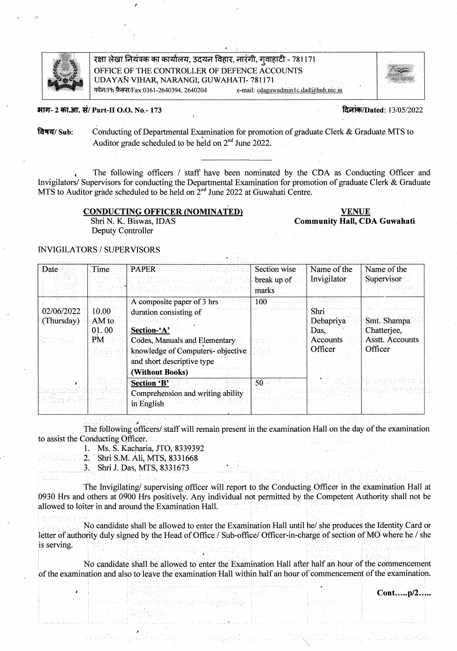

रक्षा लेखा नियंत्रक का कार्यालय, उदयन विहार, नारंगी, गुवाहाटी - 781171 OFFICE OF THE CONTROLLER OF DEFENCE ACCOUNTS UDAYAN VIHAR, NARANGI, GUWAHATI-781171 फोन/Ph फ़ैक्स/Fax:0361-2640394, 2640204 e-mail: cdaguwadmin1c.dad@hub.nic.in

#### भाग- 2 का.आ. सं/ Part-II O.O. No.- 173

दिनांक/Dated: 13/05/2022

Conducting of Departmental Examination for promotion of graduate Clerk & Graduate MTS to विषय/ Sub: Auditor grade scheduled to be held on 2<sup>nd</sup> June 2022.

The following officers / staff have been nominated by the CDA as Conducting Officer and Invigilators/ Supervisors for conducting the Departmental Examination for promotion of graduate Clerk & Graduate MTS to Auditor grade scheduled to be held on 2<sup>nd</sup> June 2022 at Guwahati Centre.

#### **CONDUCTING OFFICER (NOMINATED)**

Shri N. K. Biswas, IDAS Deputy Controller

**VENUE Community Hall, CDA Guwahati** 

### **INVIGILATORS / SUPERVISORS**

| Date                     | Time.                                   | <b>PAPER</b><br>정보 서울에 보고 거리를 잘 보고 있다.<br>[#2010#아주] 그 사이고, 27.10 - 88.2010 2021 2022<br>ACTEUR PROPERTING TWARES                                                                         | Section wise<br>break up of<br>marks | Name of the<br>Invigilator                       | Name of the<br>Supervisor                                |
|--------------------------|-----------------------------------------|-------------------------------------------------------------------------------------------------------------------------------------------------------------------------------------------|--------------------------------------|--------------------------------------------------|----------------------------------------------------------|
| 02/06/2022<br>(Thursday) | 10.00<br>AM to<br>01.00<br>PM<br>수 일록 국 | A composite paper of 3 hrs<br>duration consisting of<br>Section-'A'<br>Codes, Manuals and Elementary<br>knowledge of Computers-objective<br>and short descriptive type<br>(Without Books) | 100                                  | Shri<br>Debapriya<br>Das.<br>Accounts<br>Officer | Smt. Shampa<br>Chatterjee,<br>Asstt. Accounts<br>Officer |
|                          |                                         | Section 'B'<br>' 부분 없이<br>Comprehension and writing ability<br>in English                                                                                                                 | 50                                   |                                                  |                                                          |

The following officers/ staff will remain present in the examination Hall on the day of the examination to assist the Conducting Officer.

1. Ms. S. Kacharia, JTO, 8339392

2. Shri S.M. Ali, MTS, 8331668

3. Shri J. Das, MTS, 8331673

The Invigilating/supervising officer will report to the Conducting Officer in the examination Hall at 0930 Hrs and others at 0900 Hrs positively. Any individual not permitted by the Competent Authority shall not be allowed to loiter in and around the Examination Hall.

No candidate shall be allowed to enter the Examination Hall until he/ she produces the Identity Card or letter of authority duly signed by the Head of Office / Sub-office/ Officer-in-charge of section of MO where he / she is serving.

No candidate shall be allowed to enter the Examination Hall after half an hour of the commencement of the examination and also to leave the examination Hall within half an hour of commencement of the examination.

Cont.....p/2.....